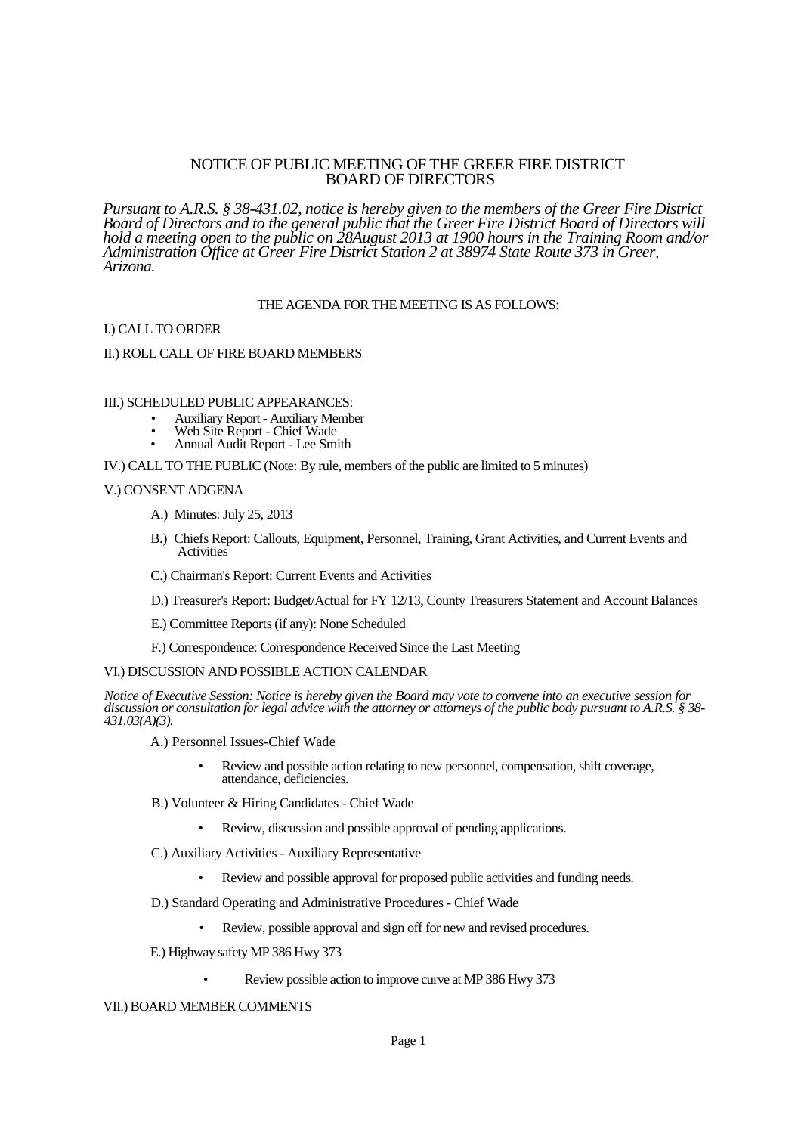# NOTICE OF PUBLIC MEETING OF THE GREER FIRE DISTRICT BOARD OF DIRECTORS

*Pursuant to A.R.S. § 38-431.02, notice is hereby given to the members of the Greer Fire District Board of Directors and to the general public that the Greer Fire District Board of Directors will hold a meeting open to the public on 28August 2013 at 1900 hours in the Training Room and/or Administration Office at Greer Fire District Station 2 at 38974 State Route 373 in Greer, Arizona.*

# THE AGENDA FOR THE MEETING IS AS FOLLOWS:

### I.) CALL TO ORDER

### II.) ROLL CALL OF FIRE BOARD MEMBERS

### III.) SCHEDULED PUBLIC APPEARANCES:

- Auxiliary Report Auxiliary Member
- Web Site Report Chief Wade
- Annual Audit Report Lee Smith

IV.) CALL TO THE PUBLIC (Note: By rule, members of the public are limited to 5 minutes)

### V.) CONSENT ADGENA

- A.) Minutes: July 25, 2013
- B.) Chiefs Report: Callouts, Equipment, Personnel, Training, Grant Activities, and Current Events and Activities
- C.) Chairman's Report: Current Events and Activities
- D.) Treasurer's Report: Budget/Actual for FY 12/13, County Treasurers Statement and Account Balances
- E.) Committee Reports (if any): None Scheduled
- F.) Correspondence: Correspondence Received Since the Last Meeting

### VI.) DISCUSSION AND POSSIBLE ACTION CALENDAR

*Notice of Executive Session: Notice is hereby given the Board may vote to convene into an executive session for discussion or consultation for legal advice with the attorney or attorneys of the public body pursuant to A.R.S. § 38- 431.03(A)(3).*

- A.) Personnel Issues-Chief Wade
	- Review and possible action relating to new personnel, compensation, shift coverage, attendance, deficiencies.
- B.) Volunteer & Hiring Candidates Chief Wade
	- Review, discussion and possible approval of pending applications.
- C.) Auxiliary Activities Auxiliary Representative
	- Review and possible approval for proposed public activities and funding needs.
- D.) Standard Operating and Administrative Procedures Chief Wade
	- Review, possible approval and sign off for new and revised procedures.
- E.) Highway safety MP 386 Hwy 373
	- Review possible action to improve curve at MP 386 Hwy 373

#### VII.) BOARD MEMBER COMMENTS